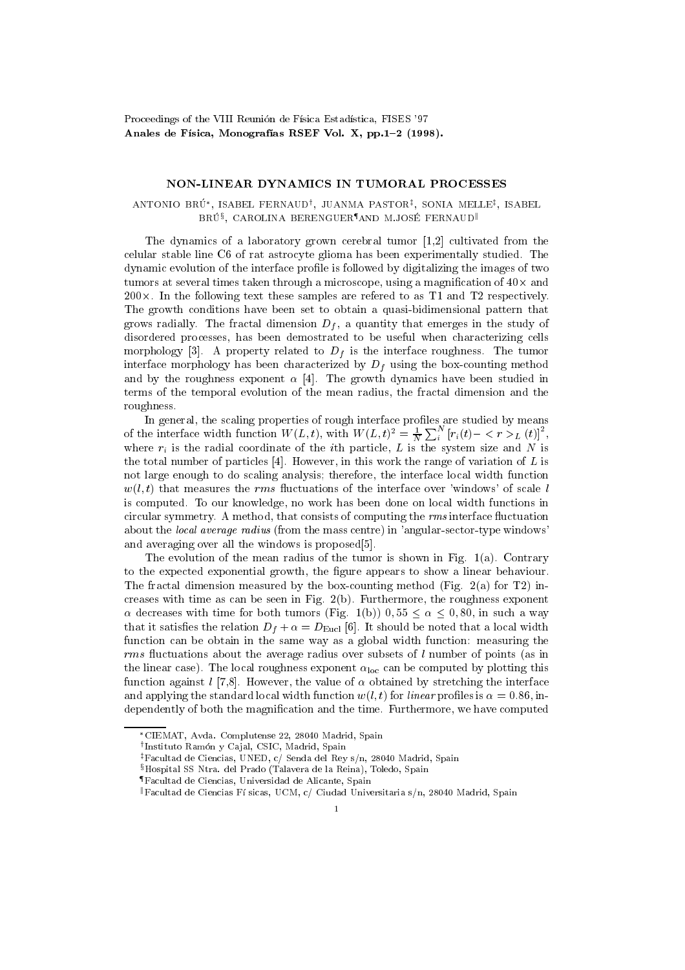Proceedings of the VIII Reunión de Física Estadística, FISES '97 Anales de Física, Monografías RSEF Vol. X, pp.1-2 (1998).

## NON-LINEAR DYNAMICS IN TUMORAL PROCESSES

## ANTONIO BRU , ISABEL FERNAUDy , JUANMA PASTORz , SONIA MELLEz , ISABEL BRU', CAROLINA BERENGUER'AND M.JOSE FERNAUD"

The dynamics of a laboratory grown cerebral tumor [1,2] cultivated from the celular stable line C6 of rat astrocyte glioma has been experimentally studied. The dynamic evolution of the interface profile is followed by digitalizing the images of two tumors at several times taken through a microscope, using a magnication of 40- and 200-. In the following text these samples are refered to as T1 and T2 respectively. The growth conditions have been set to obtain a quasi-bidimensional pattern that grows radially. The fractal dimension  $D_f$ , a quantity that emerges in the study of disordered processes, has been demostrated to be useful when characterizing cells morphology [3]. A property related to  $D_f$  is the interface roughness. The tumor interface morphology has been characterized by  $D_f$  using the box-counting method and by the roughness exponent  $\alpha$  [4]. The growth dynamics have been studied in terms of the temporal evolution of the mean radius, the fractal dimension and the roughness.

In general, the scaling properties of rough interface profiles are studied by means of the interface width function  $W(L, t)$ , with  $W(L, t)^2 = \frac{1}{N} \sum_{i}^{N} [r_i(t) - \langle r \rangle_L (t)]^2$ , in the company of the company of the company of the company of the company of the company of the company of the where  $\alpha$  is the radial coordinate of the intervals and  $\alpha$  is the intervals and  $\alpha$  is the system size and  $\alpha$ the total number of particles [4]. However, in this work the range of variation of  $L$  is not large enough to do scaling analysis; therefore, the interface local width function  $w(l, t)$  that measures the rms fluctuations of the interface over 'windows' of scale l is computed. To our knowledge, no work has been done on local width functions in circular symmetry. A method, that consists of computing the rms interface 
uctuation about the local average radius (from the mass centre) in 'angular-sector-type windows' and averaging over all the windows is proposed[5].

The evolution of the mean radius of the tumor is shown in Fig. 1(a). Contrary to the expected exponential growth, the figure appears to show a linear behaviour. The fractal dimension measured by the box-counting method (Fig. 2(a) for T2) increases with time as can be seen in Fig. 2(b). Furthermore, the roughness exponent  $\alpha$  decreases with time for both tumors (Fig. 1(b)) 0,55  $\leq \alpha \leq 0,80$ , in such a way that it satisfies the relation  $D_f + \alpha = D_{\text{Eucl}}$  [6]. It should be noted that a local width function can be obtain in the same way as a global width function: measuring the rms fluctuations about the average radius over subsets of l number of points (as in the linear case). The local roughness exponent  $\alpha_{\text{loc}}$  can be computed by plotting this function against l[7,8]. However, the value of  $\alpha$  obtained by stretching the interface and applying the standard local width function  $w(l, t)$  for *linear* profiles is  $\alpha = 0.86$ , independently of both the magnification and the time. Furthermore, we have computed

CIEMAT, Avda. Complutense 22, 28040 Madrid, Spain

<sup>y</sup> Instituto Ramon y Ca jal, CSIC, Madrid, Spain

zFacultad de Ciencias, UNED, c/ Senda del Rey s/n, 28040 Madrid, Spain

 $$Hospital SS Ntra.$  del Prado (Talavera de la Reina), Toledo, Spain

<sup>{</sup>Facultad de Ciencias, Universidad de Alicante, Spain

 $\mathbb{F}_k$ Facultad de Ciencias Físicas, UCM, c/ Ciudad Universitaria s/n, 28040 Madrid, Spain